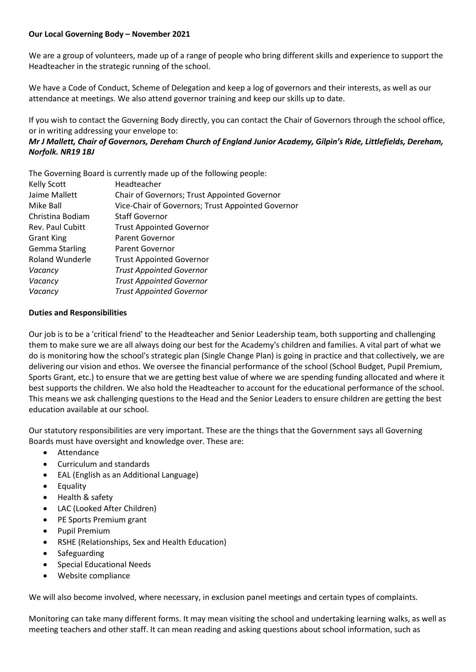## **Our Local Governing Body – November 2021**

We are a group of volunteers, made up of a range of people who bring different skills and experience to support the Headteacher in the strategic running of the school.

We have a Code of Conduct, Scheme of Delegation and keep a log of governors and their interests, as well as our attendance at meetings. We also attend governor training and keep our skills up to date.

If you wish to contact the Governing Body directly, you can contact the Chair of Governors through the school office, or in writing addressing your envelope to:

## *Mr J Mallett, Chair of Governors, Dereham Church of England Junior Academy, Gilpin's Ride, Littlefields, Dereham, Norfolk. NR19 1BJ*

The Governing Board is currently made up of the following people:

| <b>Kelly Scott</b>    | Headteacher                                       |
|-----------------------|---------------------------------------------------|
| Jaime Mallett         | Chair of Governors; Trust Appointed Governor      |
| Mike Ball             | Vice-Chair of Governors; Trust Appointed Governor |
| Christina Bodiam      | <b>Staff Governor</b>                             |
| Rev. Paul Cubitt      | <b>Trust Appointed Governor</b>                   |
| <b>Grant King</b>     | Parent Governor                                   |
| <b>Gemma Starling</b> | <b>Parent Governor</b>                            |
| Roland Wunderle       | <b>Trust Appointed Governor</b>                   |
| Vacancy               | <b>Trust Appointed Governor</b>                   |
| Vacancy               | <b>Trust Appointed Governor</b>                   |
| Vacancy               | <b>Trust Appointed Governor</b>                   |
|                       |                                                   |

## **Duties and Responsibilities**

Our job is to be a 'critical friend' to the Headteacher and Senior Leadership team, both supporting and challenging them to make sure we are all always doing our best for the Academy's children and families. A vital part of what we do is monitoring how the school's strategic plan (Single Change Plan) is going in practice and that collectively, we are delivering our vision and ethos. We oversee the financial performance of the school (School Budget, Pupil Premium, Sports Grant, etc.) to ensure that we are getting best value of where we are spending funding allocated and where it best supports the children. We also hold the Headteacher to account for the educational performance of the school. This means we ask challenging questions to the Head and the Senior Leaders to ensure children are getting the best education available at our school.

Our statutory responsibilities are very important. These are the things that the Government says all Governing Boards must have oversight and knowledge over. These are:

- Attendance
- Curriculum and standards
- EAL (English as an Additional Language)
- Equality
- Health & safety
- LAC (Looked After Children)
- PE Sports Premium grant
- Pupil Premium
- RSHE (Relationships, Sex and Health Education)
- Safeguarding
- Special Educational Needs
- Website compliance

We will also become involved, where necessary, in exclusion panel meetings and certain types of complaints.

Monitoring can take many different forms. It may mean visiting the school and undertaking learning walks, as well as meeting teachers and other staff. It can mean reading and asking questions about school information, such as